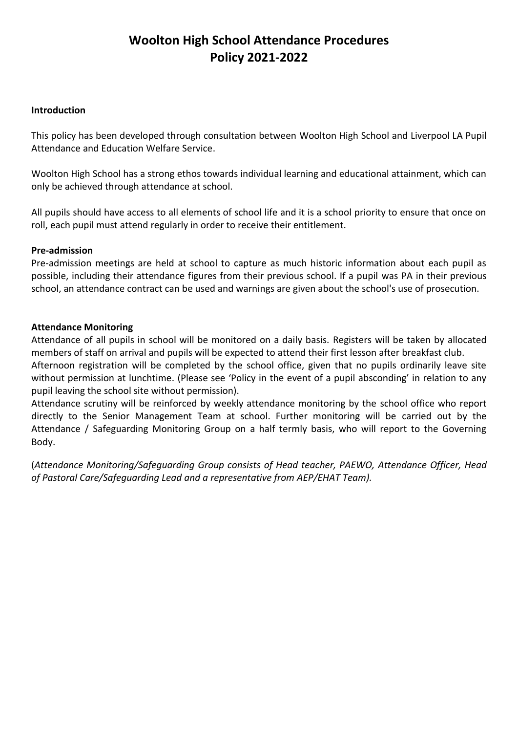### **Woolton High School Attendance Procedures Policy 2021-2022**

#### **Introduction**

This policy has been developed through consultation between Woolton High School and Liverpool LA Pupil Attendance and Education Welfare Service.

Woolton High School has a strong ethos towards individual learning and educational attainment, which can only be achieved through attendance at school.

All pupils should have access to all elements of school life and it is a school priority to ensure that once on roll, each pupil must attend regularly in order to receive their entitlement.

#### **Pre-admission**

Pre-admission meetings are held at school to capture as much historic information about each pupil as possible, including their attendance figures from their previous school. If a pupil was PA in their previous school, an attendance contract can be used and warnings are given about the school's use of prosecution.

#### **Attendance Monitoring**

Attendance of all pupils in school will be monitored on a daily basis. Registers will be taken by allocated members of staff on arrival and pupils will be expected to attend their first lesson after breakfast club.

Afternoon registration will be completed by the school office, given that no pupils ordinarily leave site without permission at lunchtime. (Please see 'Policy in the event of a pupil absconding' in relation to any pupil leaving the school site without permission).

Attendance scrutiny will be reinforced by weekly attendance monitoring by the school office who report directly to the Senior Management Team at school. Further monitoring will be carried out by the Attendance / Safeguarding Monitoring Group on a half termly basis, who will report to the Governing Body.

(*Attendance Monitoring/Safeguarding Group consists of Head teacher, PAEWO, Attendance Officer, Head of Pastoral Care/Safeguarding Lead and a representative from AEP/EHAT Team).*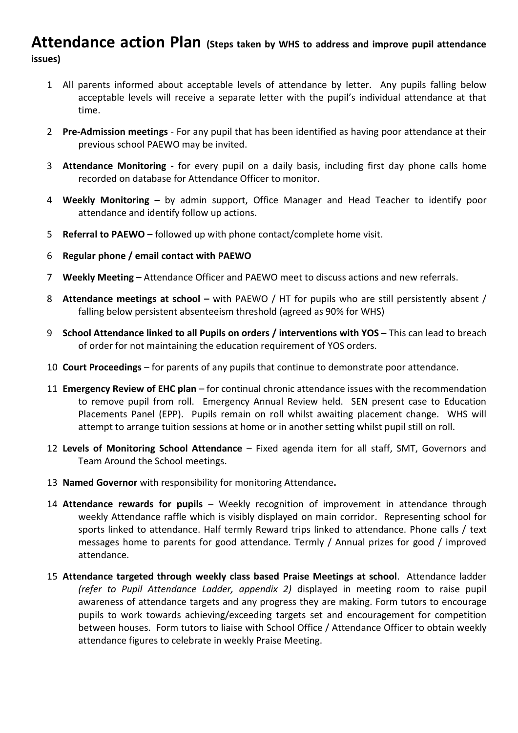### **Attendance action Plan (Steps taken by WHS to address and improve pupil attendance issues)**

- 1 All parents informed about acceptable levels of attendance by letter. Any pupils falling below acceptable levels will receive a separate letter with the pupil's individual attendance at that time.
- 2 **Pre-Admission meetings** For any pupil that has been identified as having poor attendance at their previous school PAEWO may be invited.
- 3 **Attendance Monitoring -** for every pupil on a daily basis, including first day phone calls home recorded on database for Attendance Officer to monitor.
- 4 **Weekly Monitoring –** by admin support, Office Manager and Head Teacher to identify poor attendance and identify follow up actions.
- 5 **Referral to PAEWO –** followed up with phone contact/complete home visit.
- 6 **Regular phone / email contact with PAEWO**
- 7 **Weekly Meeting –** Attendance Officer and PAEWO meet to discuss actions and new referrals.
- 8 **Attendance meetings at school –** with PAEWO / HT for pupils who are still persistently absent / falling below persistent absenteeism threshold (agreed as 90% for WHS)
- 9 **School Attendance linked to all Pupils on orders / interventions with YOS This can lead to breach** of order for not maintaining the education requirement of YOS orders.
- 10 **Court Proceedings** for parents of any pupils that continue to demonstrate poor attendance.
- 11 **Emergency Review of EHC plan** for continual chronic attendance issues with the recommendation to remove pupil from roll. Emergency Annual Review held. SEN present case to Education Placements Panel (EPP). Pupils remain on roll whilst awaiting placement change. WHS will attempt to arrange tuition sessions at home or in another setting whilst pupil still on roll.
- 12 **Levels of Monitoring School Attendance** Fixed agenda item for all staff, SMT, Governors and Team Around the School meetings.
- 13 **Named Governor** with responsibility for monitoring Attendance**.**
- 14 **Attendance rewards for pupils** Weekly recognition of improvement in attendance through weekly Attendance raffle which is visibly displayed on main corridor. Representing school for sports linked to attendance. Half termly Reward trips linked to attendance. Phone calls / text messages home to parents for good attendance. Termly / Annual prizes for good / improved attendance.
- 15 **Attendance targeted through weekly class based Praise Meetings at school**. Attendance ladder *(refer to Pupil Attendance Ladder, appendix 2)* displayed in meeting room to raise pupil awareness of attendance targets and any progress they are making. Form tutors to encourage pupils to work towards achieving/exceeding targets set and encouragement for competition between houses. Form tutors to liaise with School Office / Attendance Officer to obtain weekly attendance figures to celebrate in weekly Praise Meeting.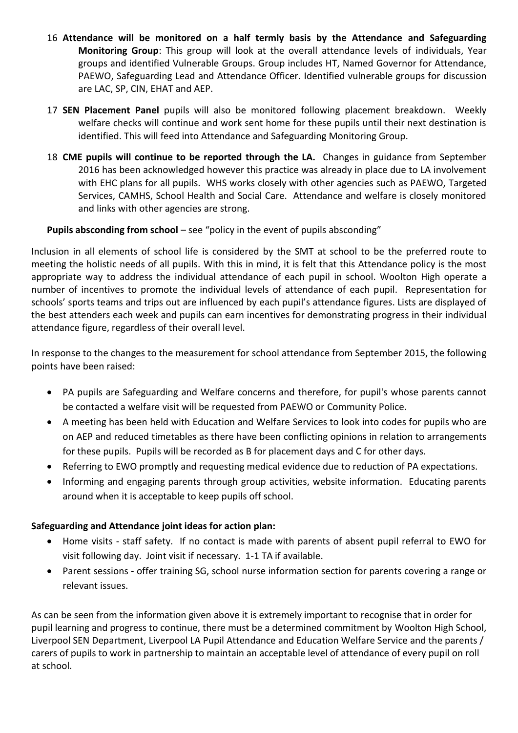- 16 **Attendance will be monitored on a half termly basis by the Attendance and Safeguarding Monitoring Group**: This group will look at the overall attendance levels of individuals, Year groups and identified Vulnerable Groups. Group includes HT, Named Governor for Attendance, PAEWO, Safeguarding Lead and Attendance Officer. Identified vulnerable groups for discussion are LAC, SP, CIN, EHAT and AEP.
- 17 **SEN Placement Panel** pupils will also be monitored following placement breakdown. Weekly welfare checks will continue and work sent home for these pupils until their next destination is identified. This will feed into Attendance and Safeguarding Monitoring Group.
- 18 **CME pupils will continue to be reported through the LA.** Changes in guidance from September 2016 has been acknowledged however this practice was already in place due to LA involvement with EHC plans for all pupils. WHS works closely with other agencies such as PAEWO, Targeted Services, CAMHS, School Health and Social Care. Attendance and welfare is closely monitored and links with other agencies are strong.

#### **Pupils absconding from school** – see "policy in the event of pupils absconding"

Inclusion in all elements of school life is considered by the SMT at school to be the preferred route to meeting the holistic needs of all pupils. With this in mind, it is felt that this Attendance policy is the most appropriate way to address the individual attendance of each pupil in school. Woolton High operate a number of incentives to promote the individual levels of attendance of each pupil. Representation for schools' sports teams and trips out are influenced by each pupil's attendance figures. Lists are displayed of the best attenders each week and pupils can earn incentives for demonstrating progress in their individual attendance figure, regardless of their overall level.

In response to the changes to the measurement for school attendance from September 2015, the following points have been raised:

- PA pupils are Safeguarding and Welfare concerns and therefore, for pupil's whose parents cannot be contacted a welfare visit will be requested from PAEWO or Community Police.
- A meeting has been held with Education and Welfare Services to look into codes for pupils who are on AEP and reduced timetables as there have been conflicting opinions in relation to arrangements for these pupils. Pupils will be recorded as B for placement days and C for other days.
- Referring to EWO promptly and requesting medical evidence due to reduction of PA expectations.
- Informing and engaging parents through group activities, website information. Educating parents around when it is acceptable to keep pupils off school.

#### **Safeguarding and Attendance joint ideas for action plan:**

- Home visits staff safety. If no contact is made with parents of absent pupil referral to EWO for visit following day. Joint visit if necessary. 1-1 TA if available.
- Parent sessions offer training SG, school nurse information section for parents covering a range or relevant issues.

As can be seen from the information given above it is extremely important to recognise that in order for pupil learning and progress to continue, there must be a determined commitment by Woolton High School, Liverpool SEN Department, Liverpool LA Pupil Attendance and Education Welfare Service and the parents / carers of pupils to work in partnership to maintain an acceptable level of attendance of every pupil on roll at school.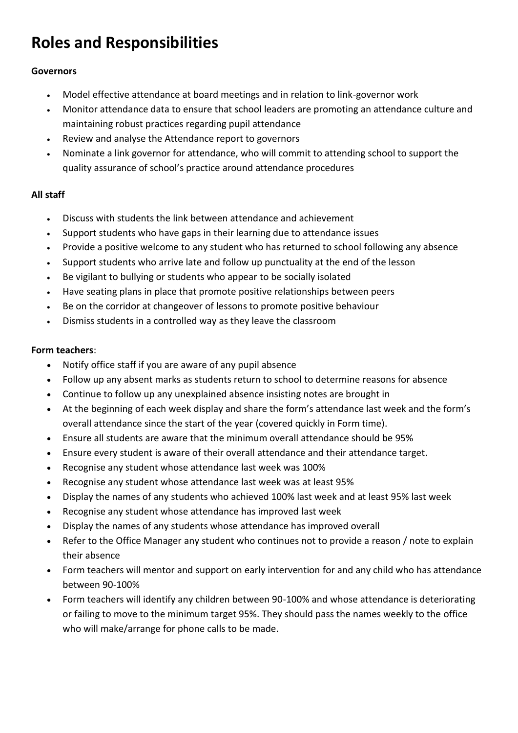## **Roles and Responsibilities**

#### **Governors**

- Model effective attendance at board meetings and in relation to link-governor work
- Monitor attendance data to ensure that school leaders are promoting an attendance culture and maintaining robust practices regarding pupil attendance
- Review and analyse the Attendance report to governors
- Nominate a link governor for attendance, who will commit to attending school to support the quality assurance of school's practice around attendance procedures

#### **All staff**

- Discuss with students the link between attendance and achievement
- Support students who have gaps in their learning due to attendance issues
- Provide a positive welcome to any student who has returned to school following any absence
- Support students who arrive late and follow up punctuality at the end of the lesson
- Be vigilant to bullying or students who appear to be socially isolated
- Have seating plans in place that promote positive relationships between peers
- Be on the corridor at changeover of lessons to promote positive behaviour
- Dismiss students in a controlled way as they leave the classroom

#### **Form teachers**:

- Notify office staff if you are aware of any pupil absence
- Follow up any absent marks as students return to school to determine reasons for absence
- Continue to follow up any unexplained absence insisting notes are brought in
- At the beginning of each week display and share the form's attendance last week and the form's overall attendance since the start of the year (covered quickly in Form time).
- Ensure all students are aware that the minimum overall attendance should be 95%
- Ensure every student is aware of their overall attendance and their attendance target.
- Recognise any student whose attendance last week was 100%
- Recognise any student whose attendance last week was at least 95%
- Display the names of any students who achieved 100% last week and at least 95% last week
- Recognise any student whose attendance has improved last week
- Display the names of any students whose attendance has improved overall
- Refer to the Office Manager any student who continues not to provide a reason / note to explain their absence
- Form teachers will mentor and support on early intervention for and any child who has attendance between 90-100%
- Form teachers will identify any children between 90-100% and whose attendance is deteriorating or failing to move to the minimum target 95%. They should pass the names weekly to the office who will make/arrange for phone calls to be made.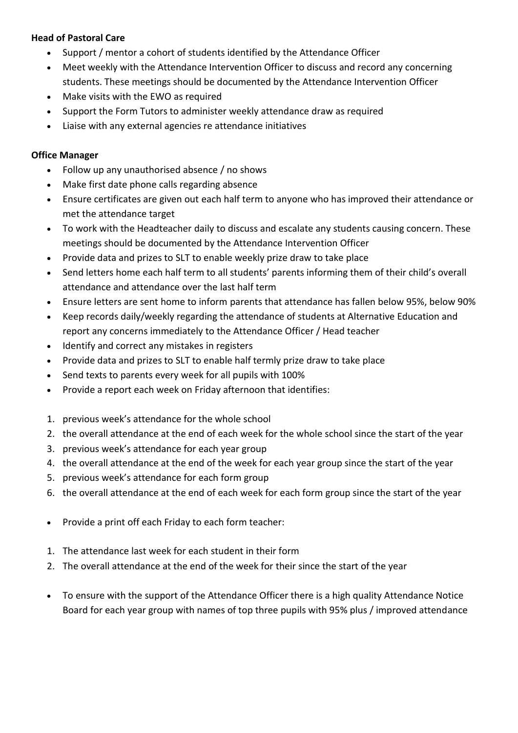#### **Head of Pastoral Care**

- Support / mentor a cohort of students identified by the Attendance Officer
- Meet weekly with the Attendance Intervention Officer to discuss and record any concerning students. These meetings should be documented by the Attendance Intervention Officer
- Make visits with the EWO as required
- Support the Form Tutors to administer weekly attendance draw as required
- Liaise with any external agencies re attendance initiatives

#### **Office Manager**

- Follow up any unauthorised absence / no shows
- Make first date phone calls regarding absence
- Ensure certificates are given out each half term to anyone who has improved their attendance or met the attendance target
- To work with the Headteacher daily to discuss and escalate any students causing concern. These meetings should be documented by the Attendance Intervention Officer
- Provide data and prizes to SLT to enable weekly prize draw to take place
- Send letters home each half term to all students' parents informing them of their child's overall attendance and attendance over the last half term
- Ensure letters are sent home to inform parents that attendance has fallen below 95%, below 90%
- Keep records daily/weekly regarding the attendance of students at Alternative Education and report any concerns immediately to the Attendance Officer / Head teacher
- Identify and correct any mistakes in registers
- Provide data and prizes to SLT to enable half termly prize draw to take place
- Send texts to parents every week for all pupils with 100%
- Provide a report each week on Friday afternoon that identifies:
- 1. previous week's attendance for the whole school
- 2. the overall attendance at the end of each week for the whole school since the start of the year
- 3. previous week's attendance for each year group
- 4. the overall attendance at the end of the week for each year group since the start of the year
- 5. previous week's attendance for each form group
- 6. the overall attendance at the end of each week for each form group since the start of the year
- Provide a print off each Friday to each form teacher:
- 1. The attendance last week for each student in their form
- 2. The overall attendance at the end of the week for their since the start of the year
- To ensure with the support of the Attendance Officer there is a high quality Attendance Notice Board for each year group with names of top three pupils with 95% plus / improved attendance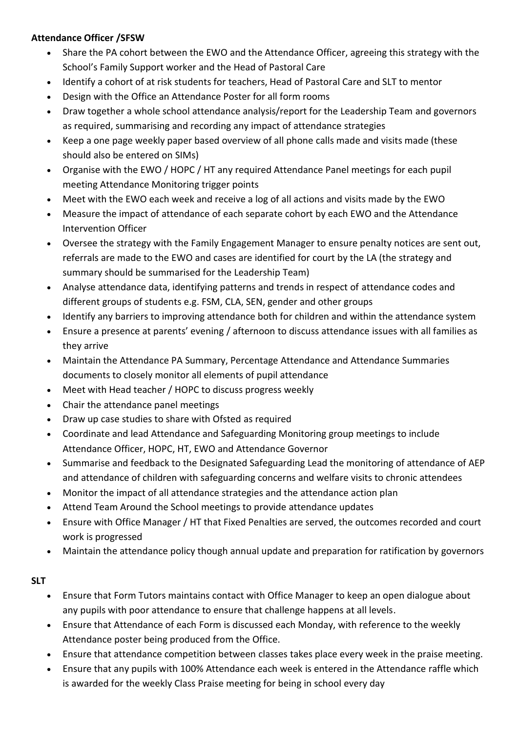#### **Attendance Officer /SFSW**

- Share the PA cohort between the EWO and the Attendance Officer, agreeing this strategy with the School's Family Support worker and the Head of Pastoral Care
- Identify a cohort of at risk students for teachers, Head of Pastoral Care and SLT to mentor
- Design with the Office an Attendance Poster for all form rooms
- Draw together a whole school attendance analysis/report for the Leadership Team and governors as required, summarising and recording any impact of attendance strategies
- Keep a one page weekly paper based overview of all phone calls made and visits made (these should also be entered on SIMs)
- Organise with the EWO / HOPC / HT any required Attendance Panel meetings for each pupil meeting Attendance Monitoring trigger points
- Meet with the EWO each week and receive a log of all actions and visits made by the EWO
- Measure the impact of attendance of each separate cohort by each EWO and the Attendance Intervention Officer
- Oversee the strategy with the Family Engagement Manager to ensure penalty notices are sent out, referrals are made to the EWO and cases are identified for court by the LA (the strategy and summary should be summarised for the Leadership Team)
- Analyse attendance data, identifying patterns and trends in respect of attendance codes and different groups of students e.g. FSM, CLA, SEN, gender and other groups
- Identify any barriers to improving attendance both for children and within the attendance system
- Ensure a presence at parents' evening / afternoon to discuss attendance issues with all families as they arrive
- Maintain the Attendance PA Summary, Percentage Attendance and Attendance Summaries documents to closely monitor all elements of pupil attendance
- Meet with Head teacher / HOPC to discuss progress weekly
- Chair the attendance panel meetings
- Draw up case studies to share with Ofsted as required
- Coordinate and lead Attendance and Safeguarding Monitoring group meetings to include Attendance Officer, HOPC, HT, EWO and Attendance Governor
- Summarise and feedback to the Designated Safeguarding Lead the monitoring of attendance of AEP and attendance of children with safeguarding concerns and welfare visits to chronic attendees
- Monitor the impact of all attendance strategies and the attendance action plan
- Attend Team Around the School meetings to provide attendance updates
- Ensure with Office Manager / HT that Fixed Penalties are served, the outcomes recorded and court work is progressed
- Maintain the attendance policy though annual update and preparation for ratification by governors

#### **SLT**

- Ensure that Form Tutors maintains contact with Office Manager to keep an open dialogue about any pupils with poor attendance to ensure that challenge happens at all levels.
- Ensure that Attendance of each Form is discussed each Monday, with reference to the weekly Attendance poster being produced from the Office.
- Ensure that attendance competition between classes takes place every week in the praise meeting.
- Ensure that any pupils with 100% Attendance each week is entered in the Attendance raffle which is awarded for the weekly Class Praise meeting for being in school every day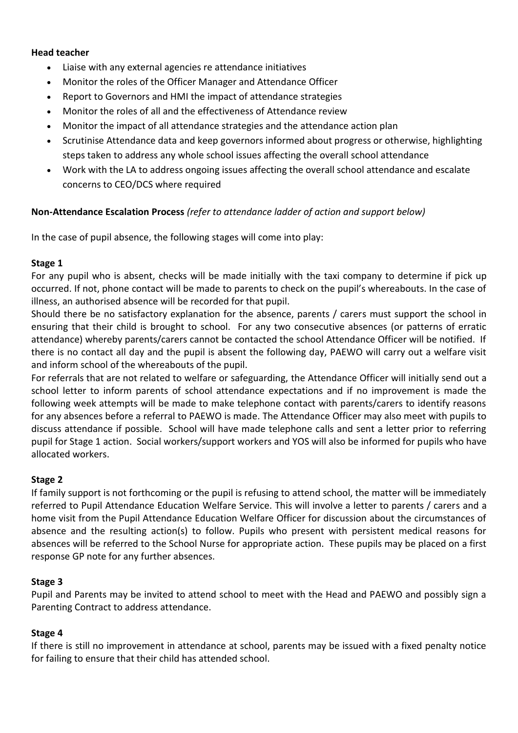#### **Head teacher**

- Liaise with any external agencies re attendance initiatives
- Monitor the roles of the Officer Manager and Attendance Officer
- Report to Governors and HMI the impact of attendance strategies
- Monitor the roles of all and the effectiveness of Attendance review
- Monitor the impact of all attendance strategies and the attendance action plan
- Scrutinise Attendance data and keep governors informed about progress or otherwise, highlighting steps taken to address any whole school issues affecting the overall school attendance
- Work with the LA to address ongoing issues affecting the overall school attendance and escalate concerns to CEO/DCS where required

#### **Non-Attendance Escalation Process** *(refer to attendance ladder of action and support below)*

In the case of pupil absence, the following stages will come into play:

#### **Stage 1**

For any pupil who is absent, checks will be made initially with the taxi company to determine if pick up occurred. If not, phone contact will be made to parents to check on the pupil's whereabouts. In the case of illness, an authorised absence will be recorded for that pupil.

Should there be no satisfactory explanation for the absence, parents / carers must support the school in ensuring that their child is brought to school. For any two consecutive absences (or patterns of erratic attendance) whereby parents/carers cannot be contacted the school Attendance Officer will be notified. If there is no contact all day and the pupil is absent the following day, PAEWO will carry out a welfare visit and inform school of the whereabouts of the pupil.

For referrals that are not related to welfare or safeguarding, the Attendance Officer will initially send out a school letter to inform parents of school attendance expectations and if no improvement is made the following week attempts will be made to make telephone contact with parents/carers to identify reasons for any absences before a referral to PAEWO is made. The Attendance Officer may also meet with pupils to discuss attendance if possible. School will have made telephone calls and sent a letter prior to referring pupil for Stage 1 action. Social workers/support workers and YOS will also be informed for pupils who have allocated workers.

#### **Stage 2**

If family support is not forthcoming or the pupil is refusing to attend school, the matter will be immediately referred to Pupil Attendance Education Welfare Service. This will involve a letter to parents / carers and a home visit from the Pupil Attendance Education Welfare Officer for discussion about the circumstances of absence and the resulting action(s) to follow. Pupils who present with persistent medical reasons for absences will be referred to the School Nurse for appropriate action. These pupils may be placed on a first response GP note for any further absences.

#### **Stage 3**

Pupil and Parents may be invited to attend school to meet with the Head and PAEWO and possibly sign a Parenting Contract to address attendance.

#### **Stage 4**

If there is still no improvement in attendance at school, parents may be issued with a fixed penalty notice for failing to ensure that their child has attended school.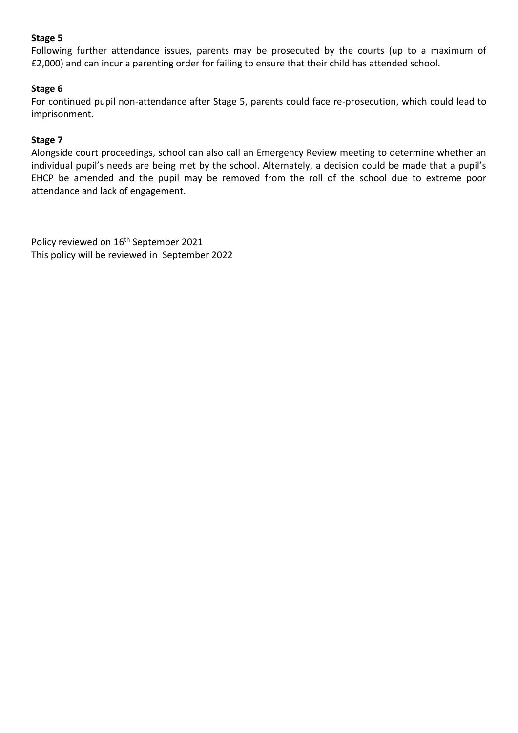#### **Stage 5**

Following further attendance issues, parents may be prosecuted by the courts (up to a maximum of £2,000) and can incur a parenting order for failing to ensure that their child has attended school.

#### **Stage 6**

For continued pupil non-attendance after Stage 5, parents could face re-prosecution, which could lead to imprisonment.

#### **Stage 7**

Alongside court proceedings, school can also call an Emergency Review meeting to determine whether an individual pupil's needs are being met by the school. Alternately, a decision could be made that a pupil's EHCP be amended and the pupil may be removed from the roll of the school due to extreme poor attendance and lack of engagement.

Policy reviewed on 16<sup>th</sup> September 2021 This policy will be reviewed in September 2022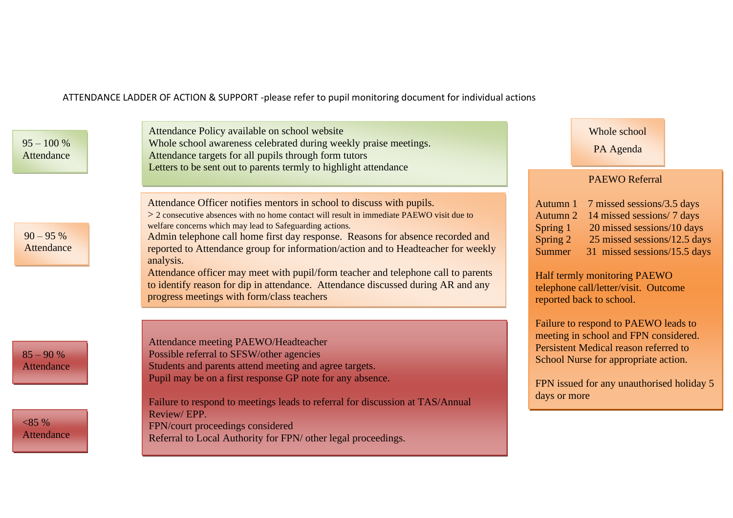ATTENDANCE LADDER OF ACTION & SUPPORT -please refer to pupil monitoring document for individual actions

Attendance Policy available on school website Whole school awareness celebrated during weekly praise meetings. Attendance targets for all pupils through form tutors Letters to be sent out to parents termly to highlight attendance Attendance Officer notifies mentors in school to discuss with pupils. > 2 consecutive absences with no home contact will result in immediate PAEWO visit due to welfare concerns which may lead to Safeguarding actions. Admin telephone call home first day response. Reasons for absence recorded and reported to Attendance group for information/action and to Headteacher for weekly analysis. Attendance officer may meet with pupil/form teacher and telephone call to parents to identify reason for dip in attendance. Attendance discussed during AR and any progress meetings with form/class teachers Attendance meeting PAEWO/Headteacher Possible referral to SFSW/other agencies Students and parents attend meeting and agree targets. Pupil may be on a first response GP note for any absence. Failure to respond to meetings leads to referral for discussion at TAS/Annual Review/ EPP. FPN/court proceedings considered Referral to Local Authority for FPN/ other legal proceedings. PAEWO Referral Autumn 1 7 missed sessions/3.5 days Autumn 2 14 missed sessions/ 7 days Spring 1 20 missed sessions/10 days Spring 2 25 missed sessions/12.5 days Summer 31 missed sessions/15.5 days Half termly monitoring PAEWO telephone call/letter/visit. Outcome reported back to school. Failure to respond to PAEWO leads to meeting in school and FPN considered. Persistent Medical reason referred to School Nurse for appropriate action. FPN issued for any unauthorised holiday 5 days or more  $95 - 100 %$ Attendance  $90 - 95\%$ Attendance  $85 - 90 %$ Attendance  $< 85\%$ **Attendance** Whole school PA Agenda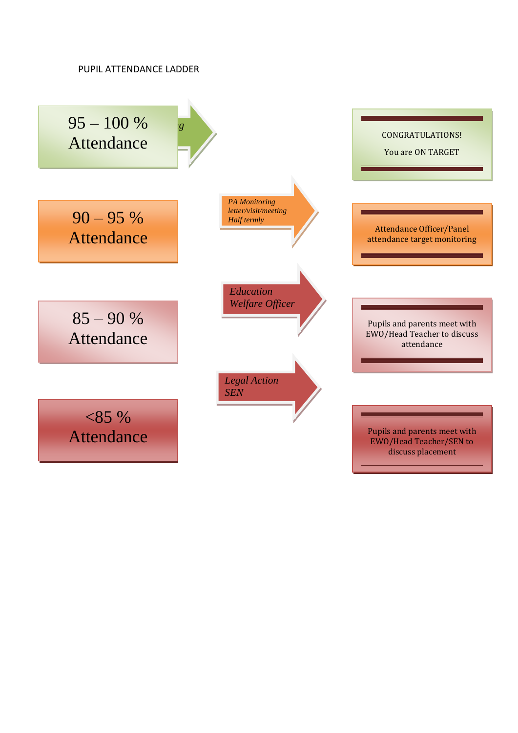#### PUPIL ATTENDANCE LADDER

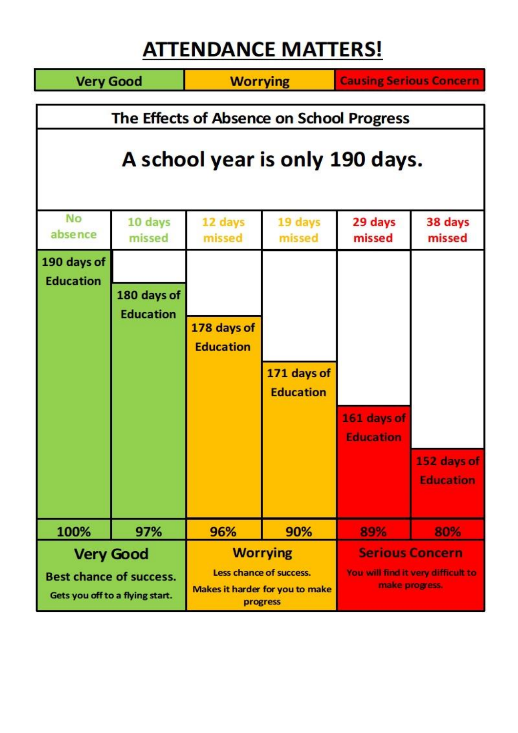# **ATTENDANCE MATTERS!**

| <b>Very Good</b>                                                                      |                                 | <b>Worrying</b>                                                                           |                                 | <b>Causing Serious Concern</b>                                                 |                                 |
|---------------------------------------------------------------------------------------|---------------------------------|-------------------------------------------------------------------------------------------|---------------------------------|--------------------------------------------------------------------------------|---------------------------------|
| The Effects of Absence on School Progress<br>A school year is only 190 days.          |                                 |                                                                                           |                                 |                                                                                |                                 |
| <b>No</b><br>absence                                                                  | 10 days<br>missed               | 12 days<br>missed                                                                         | 19 days<br>missed               | 29 days<br>missed                                                              | 38 days<br>missed               |
| 190 days of<br><b>Education</b>                                                       | 180 days of<br><b>Education</b> | 178 days of<br><b>Education</b>                                                           | 171 days of<br><b>Education</b> | 161 days of<br><b>Education</b>                                                | 152 days of<br><b>Education</b> |
| 100%                                                                                  | 97%                             | 96%                                                                                       | 90%                             | 89%                                                                            | 80%                             |
| <b>Very Good</b><br><b>Best chance of success.</b><br>Gets you off to a flying start. |                                 | <b>Worrying</b><br>Less chance of success.<br>Makes it harder for you to make<br>progress |                                 | <b>Serious Concern</b><br>You will find it very difficult to<br>make progress. |                                 |